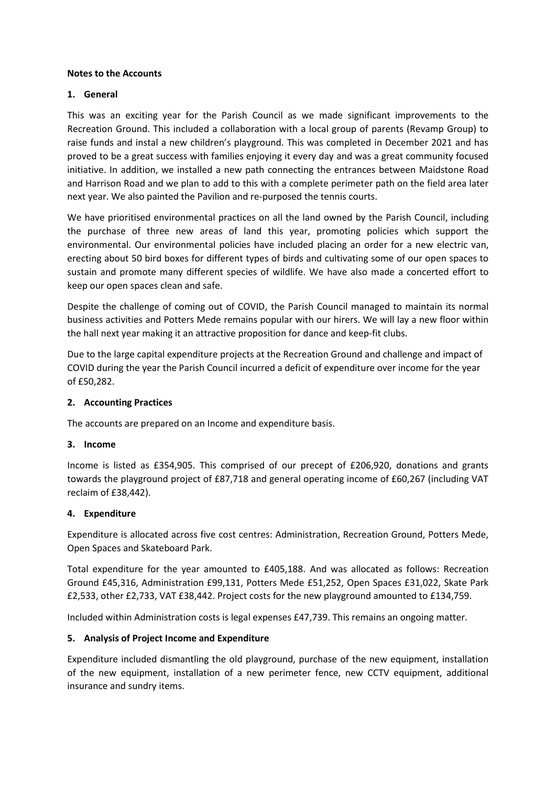# **Notes to the Accounts**

# **1. General**

This was an exciting year for the Parish Council as we made significant improvements to the Recreation Ground. This included a collaboration with a local group of parents (Revamp Group) to raise funds and instal a new children's playground. This was completed in December 2021 and has proved to be a great success with families enjoying it every day and was a great community focused initiative. In addition, we installed a new path connecting the entrances between Maidstone Road and Harrison Road and we plan to add to this with a complete perimeter path on the field area later next year. We also painted the Pavilion and re-purposed the tennis courts.

We have prioritised environmental practices on all the land owned by the Parish Council, including the purchase of three new areas of land this year, promoting policies which support the environmental. Our environmental policies have included placing an order for a new electric van, erecting about 50 bird boxes for different types of birds and cultivating some of our open spaces to sustain and promote many different species of wildlife. We have also made a concerted effort to keep our open spaces clean and safe.

Despite the challenge of coming out of COVID, the Parish Council managed to maintain its normal business activities and Potters Mede remains popular with our hirers. We will lay a new floor within the hall next year making it an attractive proposition for dance and keep-fit clubs.

Due to the large capital expenditure projects at the Recreation Ground and challenge and impact of COVID during the year the Parish Council incurred a deficit of expenditure over income for the year of £50,282.

# **2. Accounting Practices**

The accounts are prepared on an Income and expenditure basis.

#### **3. Income**

Income is listed as £354,905. This comprised of our precept of £206,920, donations and grants towards the playground project of £87,718 and general operating income of £60,267 (including VAT reclaim of £38,442).

# **4. Expenditure**

Expenditure is allocated across five cost centres: Administration, Recreation Ground, Potters Mede, Open Spaces and Skateboard Park.

Total expenditure for the year amounted to £405,188. And was allocated as follows: Recreation Ground £45,316, Administration £99,131, Potters Mede £51,252, Open Spaces £31,022, Skate Park £2,533, other £2,733, VAT £38,442. Project costs for the new playground amounted to £134,759.

Included within Administration costs is legal expenses £47,739. This remains an ongoing matter.

# **5. Analysis of Project Income and Expenditure**

Expenditure included dismantling the old playground, purchase of the new equipment, installation of the new equipment, installation of a new perimeter fence, new CCTV equipment, additional insurance and sundry items.